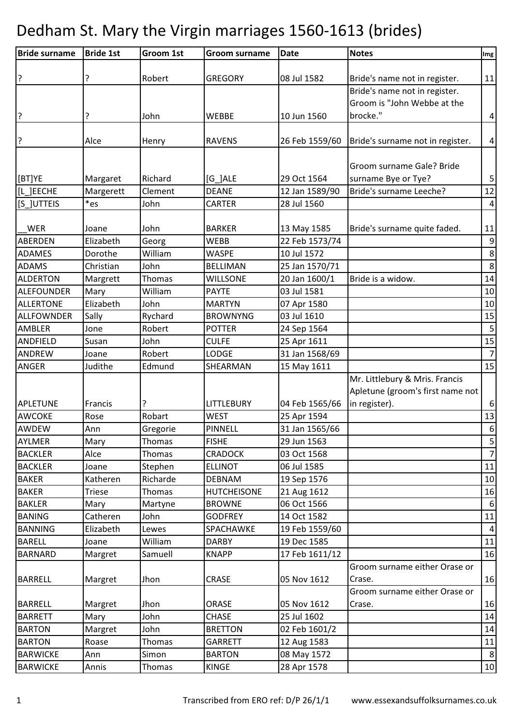| <b>Bride surname</b> | <b>Bride 1st</b> | Groom 1st | <b>Groom surname</b> | <b>Date</b>    | <b>Notes</b>                     | Img              |
|----------------------|------------------|-----------|----------------------|----------------|----------------------------------|------------------|
|                      |                  |           |                      |                |                                  |                  |
| ?                    | ?                | Robert    | <b>GREGORY</b>       | 08 Jul 1582    | Bride's name not in register.    | 11               |
|                      |                  |           |                      |                | Bride's name not in register.    |                  |
|                      |                  |           |                      |                | Groom is "John Webbe at the      |                  |
| 3                    | ?                | John      | <b>WEBBE</b>         | 10 Jun 1560    | brocke."                         | $\overline{4}$   |
|                      |                  |           |                      |                |                                  |                  |
| ?                    | Alce             | Henry     | <b>RAVENS</b>        | 26 Feb 1559/60 | Bride's surname not in register. | $\pmb{4}$        |
|                      |                  |           |                      |                |                                  |                  |
|                      |                  |           |                      |                | Groom surname Gale? Bride        |                  |
| [BT]YE               | Margaret         | Richard   | $[G_]ALE$            | 29 Oct 1564    | surname Bye or Tye?              | 5                |
| [L ]EECHE            | Margerett        | Clement   | <b>DEANE</b>         | 12 Jan 1589/90 | Bride's surname Leeche?          | 12               |
| [S_]UTTEIS           | *es              | John      | <b>CARTER</b>        | 28 Jul 1560    |                                  | $\overline{4}$   |
| <b>WER</b>           | Joane            | John      | <b>BARKER</b>        | 13 May 1585    | Bride's surname quite faded.     | 11               |
| <b>ABERDEN</b>       | Elizabeth        | Georg     | <b>WEBB</b>          | 22 Feb 1573/74 |                                  | 9                |
| ADAMES               | Dorothe          | William   | <b>WASPE</b>         | 10 Jul 1572    |                                  | $\bf 8$          |
| <b>ADAMS</b>         | Christian        | John      | <b>BELLIMAN</b>      | 25 Jan 1570/71 |                                  | 8                |
| <b>ALDERTON</b>      | Margrett         | Thomas    | <b>WILLSONE</b>      | 20 Jan 1600/1  | Bride is a widow.                | 14               |
| <b>ALEFOUNDER</b>    | Mary             | William   | <b>PAYTE</b>         | 03 Jul 1581    |                                  | 10               |
| <b>ALLERTONE</b>     | Elizabeth        | John      | <b>MARTYN</b>        | 07 Apr 1580    |                                  | 10               |
| <b>ALLFOWNDER</b>    | Sally            | Rychard   | <b>BROWNYNG</b>      | 03 Jul 1610    |                                  | 15               |
| <b>AMBLER</b>        | Jone             | Robert    | <b>POTTER</b>        | 24 Sep 1564    |                                  | 5                |
| <b>ANDFIELD</b>      | Susan            | John      | <b>CULFE</b>         | 25 Apr 1611    |                                  | 15               |
| <b>ANDREW</b>        | Joane            | Robert    | LODGE                | 31 Jan 1568/69 |                                  | $\overline{7}$   |
| <b>ANGER</b>         | Judithe          | Edmund    | SHEARMAN             | 15 May 1611    |                                  | 15               |
|                      |                  |           |                      |                | Mr. Littlebury & Mris. Francis   |                  |
|                      |                  |           |                      |                | Apletune (groom's first name not |                  |
| <b>APLETUNE</b>      | Francis          | ?         | LITTLEBURY           | 04 Feb 1565/66 | in register).                    | 6                |
| <b>AWCOKE</b>        | Rose             | Robart    | <b>WEST</b>          | 25 Apr 1594    |                                  | 13               |
| AWDEW                | Ann              | Gregorie  | PINNELL              | 31 Jan 1565/66 |                                  | $\boldsymbol{6}$ |
| AYLMER               | Mary             | Thomas    | <b>FISHE</b>         | 29 Jun 1563    |                                  | 5                |
| <b>BACKLER</b>       | Alce             | Thomas    | <b>CRADOCK</b>       | 03 Oct 1568    |                                  | $\overline{7}$   |
| <b>BACKLER</b>       | Joane            | Stephen   | <b>ELLINOT</b>       | 06 Jul 1585    |                                  | 11               |
| <b>BAKER</b>         | Katheren         | Richarde  | <b>DEBNAM</b>        | 19 Sep 1576    |                                  | $10\,$           |
| <b>BAKER</b>         | Triese           | Thomas    | <b>HUTCHEISONE</b>   | 21 Aug 1612    |                                  | 16               |
| <b>BAKLER</b>        | Mary             | Martyne   | <b>BROWNE</b>        | 06 Oct 1566    |                                  | 6                |
| <b>BANING</b>        | Catheren         | John      | <b>GODFREY</b>       | 14 Oct 1582    |                                  | 11               |
| <b>BANNING</b>       | Elizabeth        | Lewes     | SPACHAWKE            | 19 Feb 1559/60 |                                  | 4                |
| <b>BARELL</b>        | Joane            | William   | <b>DARBY</b>         | 19 Dec 1585    |                                  | 11               |
| <b>BARNARD</b>       | Margret          | Samuell   | <b>KNAPP</b>         | 17 Feb 1611/12 |                                  | 16               |
|                      |                  |           |                      |                | Groom surname either Orase or    |                  |
| <b>BARRELL</b>       | Margret          | Jhon      | <b>CRASE</b>         | 05 Nov 1612    | Crase.                           | 16               |
|                      |                  |           |                      |                | Groom surname either Orase or    |                  |
| <b>BARRELL</b>       | Margret          | Jhon      | ORASE                | 05 Nov 1612    | Crase.                           | 16               |
| <b>BARRETT</b>       | Mary             | John      | <b>CHASE</b>         | 25 Jul 1602    |                                  | 14               |
| <b>BARTON</b>        | Margret          | John      | <b>BRETTON</b>       | 02 Feb 1601/2  |                                  | 14               |
| <b>BARTON</b>        | Roase            | Thomas    | <b>GARRETT</b>       | 12 Aug 1583    |                                  | 11               |
| <b>BARWICKE</b>      | Ann              | Simon     | <b>BARTON</b>        | 08 May 1572    |                                  | 8                |
| <b>BARWICKE</b>      | Annis            | Thomas    | <b>KINGE</b>         | 28 Apr 1578    |                                  | 10               |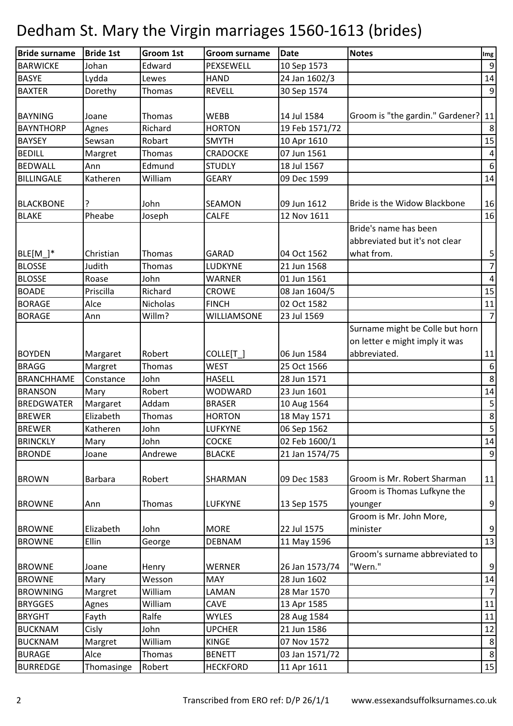| <b>Bride surname</b> | <b>Bride 1st</b> | Groom 1st | <b>Groom surname</b> | <b>Date</b>    | <b>Notes</b>                     | Img              |
|----------------------|------------------|-----------|----------------------|----------------|----------------------------------|------------------|
| <b>BARWICKE</b>      | Johan            | Edward    | PEXSEWELL            | 10 Sep 1573    |                                  | $9\,$            |
| <b>BASYE</b>         | Lydda            | Lewes     | <b>HAND</b>          | 24 Jan 1602/3  |                                  | 14               |
| <b>BAXTER</b>        | Dorethy          | Thomas    | <b>REVELL</b>        | 30 Sep 1574    |                                  | $\boldsymbol{9}$ |
|                      |                  |           |                      |                |                                  |                  |
| <b>BAYNING</b>       | Joane            | Thomas    | <b>WEBB</b>          | 14 Jul 1584    | Groom is "the gardin." Gardener? | 11               |
| <b>BAYNTHORP</b>     | Agnes            | Richard   | <b>HORTON</b>        | 19 Feb 1571/72 |                                  | $\bf 8$          |
| <b>BAYSEY</b>        | Sewsan           | Robart    | <b>SMYTH</b>         | 10 Apr 1610    |                                  | 15               |
| <b>BEDILL</b>        | Margret          | Thomas    | <b>CRADOCKE</b>      | 07 Jun 1561    |                                  | $\pmb{4}$        |
| <b>BEDWALL</b>       | Ann              | Edmund    | <b>STUDLY</b>        | 18 Jul 1567    |                                  | $\boldsymbol{6}$ |
| <b>BILLINGALE</b>    | Katheren         | William   | <b>GEARY</b>         | 09 Dec 1599    |                                  | 14               |
|                      |                  |           |                      |                |                                  |                  |
| <b>BLACKBONE</b>     | ?                | John      | <b>SEAMON</b>        | 09 Jun 1612    | Bride is the Widow Blackbone     | 16               |
| <b>BLAKE</b>         | Pheabe           | Joseph    | <b>CALFE</b>         | 12 Nov 1611    |                                  | 16               |
|                      |                  |           |                      |                | Bride's name has been            |                  |
|                      |                  |           |                      |                | abbreviated but it's not clear   |                  |
| $BLE[M_$             | Christian        | Thomas    | <b>GARAD</b>         | 04 Oct 1562    | what from.                       | $\mathsf S$      |
| <b>BLOSSE</b>        | Judith           | Thomas    | LUDKYNE              | 21 Jun 1568    |                                  | $\overline{7}$   |
| <b>BLOSSE</b>        | Roase            | John      | <b>WARNER</b>        | 01 Jun 1561    |                                  | $\overline{4}$   |
| <b>BOADE</b>         | Priscilla        | Richard   | <b>CROWE</b>         | 08 Jan 1604/5  |                                  | 15               |
| <b>BORAGE</b>        | Alce             | Nicholas  | <b>FINCH</b>         | 02 Oct 1582    |                                  | 11               |
| <b>BORAGE</b>        | Ann              | Willm?    | WILLIAMSONE          | 23 Jul 1569    |                                  | $\overline{7}$   |
|                      |                  |           |                      |                | Surname might be Colle but horn  |                  |
|                      |                  |           |                      |                | on letter e might imply it was   |                  |
| <b>BOYDEN</b>        | Margaret         | Robert    | COLLE[T]             | 06 Jun 1584    | abbreviated.                     | 11               |
| <b>BRAGG</b>         | Margret          | Thomas    | <b>WEST</b>          | 25 Oct 1566    |                                  | $\boldsymbol{6}$ |
| <b>BRANCHHAME</b>    | Constance        | John      | <b>HASELL</b>        | 28 Jun 1571    |                                  | $\bf 8$          |
| <b>BRANSON</b>       | Mary             | Robert    | <b>WODWARD</b>       | 23 Jun 1601    |                                  | 14               |
| <b>BREDGWATER</b>    | Margaret         | Addam     | <b>BRASER</b>        | 10 Aug 1564    |                                  | $\sf 5$          |
| <b>BREWER</b>        | Elizabeth        | Thomas    | <b>HORTON</b>        | 18 May 1571    |                                  | $\bf 8$          |
| <b>BREWER</b>        | Katheren         | John      | <b>LUFKYNE</b>       | 06 Sep 1562    |                                  | $5\overline{)}$  |
| <b>BRINCKLY</b>      | Mary             | John      | <b>COCKE</b>         | 02 Feb 1600/1  |                                  | 14               |
| <b>BRONDE</b>        | Joane            | Andrewe   | <b>BLACKE</b>        | 21 Jan 1574/75 |                                  | $9\,$            |
|                      |                  |           |                      |                |                                  |                  |
| <b>BROWN</b>         | <b>Barbara</b>   | Robert    | <b>SHARMAN</b>       | 09 Dec 1583    | Groom is Mr. Robert Sharman      | 11               |
|                      |                  |           |                      |                | Groom is Thomas Lufkyne the      |                  |
| <b>BROWNE</b>        | Ann              | Thomas    | <b>LUFKYNE</b>       | 13 Sep 1575    | younger                          | $\mathsf 9$      |
|                      |                  |           |                      |                | Groom is Mr. John More,          |                  |
| <b>BROWNE</b>        | Elizabeth        | John      | <b>MORE</b>          | 22 Jul 1575    | minister                         | $\mathsf 9$      |
| <b>BROWNE</b>        | Ellin            | George    | <b>DEBNAM</b>        | 11 May 1596    |                                  | 13               |
|                      |                  |           |                      |                | Groom's surname abbreviated to   |                  |
| <b>BROWNE</b>        | Joane            | Henry     | <b>WERNER</b>        | 26 Jan 1573/74 | "Wern."                          | $\boldsymbol{9}$ |
| <b>BROWNE</b>        | Mary             | Wesson    | <b>MAY</b>           | 28 Jun 1602    |                                  | 14               |
| <b>BROWNING</b>      | Margret          | William   | LAMAN                | 28 Mar 1570    |                                  | $\overline{7}$   |
| <b>BRYGGES</b>       | Agnes            | William   | <b>CAVE</b>          | 13 Apr 1585    |                                  | 11               |
| <b>BRYGHT</b>        | Fayth            | Ralfe     | <b>WYLES</b>         | 28 Aug 1584    |                                  | 11               |
| <b>BUCKNAM</b>       | Cisly            | John      | <b>UPCHER</b>        | 21 Jun 1586    |                                  | 12               |
| <b>BUCKNAM</b>       | Margret          | William   | <b>KINGE</b>         | 07 Nov 1572    |                                  | $\bf 8$          |
| <b>BURAGE</b>        | Alce             | Thomas    | <b>BENETT</b>        | 03 Jan 1571/72 |                                  | $\bf 8$          |
| <b>BURREDGE</b>      | Thomasinge       | Robert    | <b>HECKFORD</b>      | 11 Apr 1611    |                                  | 15               |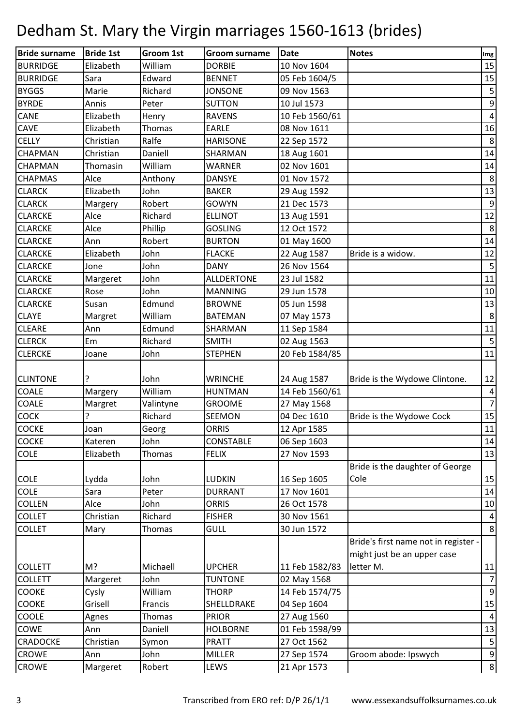| <b>Bride surname</b> | <b>Bride 1st</b> | Groom 1st | <b>Groom surname</b> | <b>Date</b>    | <b>Notes</b>                         | Img              |
|----------------------|------------------|-----------|----------------------|----------------|--------------------------------------|------------------|
| <b>BURRIDGE</b>      | Elizabeth        | William   | <b>DORBIE</b>        | 10 Nov 1604    |                                      | 15               |
| <b>BURRIDGE</b>      | Sara             | Edward    | <b>BENNET</b>        | 05 Feb 1604/5  |                                      | 15               |
| <b>BYGGS</b>         | Marie            | Richard   | <b>JONSONE</b>       | 09 Nov 1563    |                                      | $\mathsf S$      |
| <b>BYRDE</b>         | Annis            | Peter     | <b>SUTTON</b>        | 10 Jul 1573    |                                      | 9                |
| <b>CANE</b>          | Elizabeth        | Henry     | <b>RAVENS</b>        | 10 Feb 1560/61 |                                      | $\overline{4}$   |
| <b>CAVE</b>          | Elizabeth        | Thomas    | <b>EARLE</b>         | 08 Nov 1611    |                                      | 16               |
| <b>CELLY</b>         | Christian        | Ralfe     | <b>HARISONE</b>      | 22 Sep 1572    |                                      | $\,8\,$          |
| CHAPMAN              | Christian        | Daniell   | SHARMAN              | 18 Aug 1601    |                                      | 14               |
| <b>CHAPMAN</b>       | Thomasin         | William   | <b>WARNER</b>        | 02 Nov 1601    |                                      | 14               |
| <b>CHAPMAS</b>       | Alce             | Anthony   | <b>DANSYE</b>        | 01 Nov 1572    |                                      | $\,8\,$          |
| <b>CLARCK</b>        | Elizabeth        | John      | <b>BAKER</b>         | 29 Aug 1592    |                                      | 13               |
| <b>CLARCK</b>        | Margery          | Robert    | <b>GOWYN</b>         | 21 Dec 1573    |                                      | $\boldsymbol{9}$ |
| <b>CLARCKE</b>       | Alce             | Richard   | <b>ELLINOT</b>       | 13 Aug 1591    |                                      | 12               |
| <b>CLARCKE</b>       | Alce             | Phillip   | <b>GOSLING</b>       | 12 Oct 1572    |                                      | $\,8\,$          |
| <b>CLARCKE</b>       | Ann              | Robert    | <b>BURTON</b>        | 01 May 1600    |                                      | 14               |
| <b>CLARCKE</b>       | Elizabeth        | John      | <b>FLACKE</b>        | 22 Aug 1587    | Bride is a widow.                    | 12               |
| <b>CLARCKE</b>       | Jone             | John      | <b>DANY</b>          | 26 Nov 1564    |                                      | 5                |
| <b>CLARCKE</b>       | Margeret         | John      | <b>ALLDERTONE</b>    | 23 Jul 1582    |                                      | 11               |
| <b>CLARCKE</b>       | Rose             | John      | <b>MANNING</b>       | 29 Jun 1578    |                                      | 10               |
| <b>CLARCKE</b>       | Susan            | Edmund    | <b>BROWNE</b>        | 05 Jun 1598    |                                      | 13               |
| <b>CLAYE</b>         | Margret          | William   | <b>BATEMAN</b>       | 07 May 1573    |                                      | $\,8\,$          |
| <b>CLEARE</b>        | Ann              | Edmund    | <b>SHARMAN</b>       | 11 Sep 1584    |                                      | 11               |
| <b>CLERCK</b>        | Em               | Richard   | <b>SMITH</b>         | 02 Aug 1563    |                                      | $5\phantom{.0}$  |
| <b>CLERCKE</b>       | Joane            | John      | <b>STEPHEN</b>       | 20 Feb 1584/85 |                                      | 11               |
|                      |                  |           |                      |                |                                      |                  |
| <b>CLINTONE</b>      | ?                | John      | <b>WRINCHE</b>       | 24 Aug 1587    | Bride is the Wydowe Clintone.        | 12               |
| <b>COALE</b>         | Margery          | William   | <b>HUNTMAN</b>       | 14 Feb 1560/61 |                                      | $\overline{4}$   |
| <b>COALE</b>         | Margret          | Valintyne | <b>GROOME</b>        | 27 May 1568    |                                      | $\overline{7}$   |
| <b>COCK</b>          | 5                | Richard   | <b>SEEMON</b>        | 04 Dec 1610    | Bride is the Wydowe Cock             | 15               |
| <b>COCKE</b>         | Joan             | Georg     | <b>ORRIS</b>         | 12 Apr 1585    |                                      | 11               |
| <b>COCKE</b>         | Kateren          | John      | CONSTABLE            | 06 Sep 1603    |                                      | 14               |
| <b>COLE</b>          | Elizabeth        | Thomas    | <b>FELIX</b>         | 27 Nov 1593    |                                      | 13               |
|                      |                  |           |                      |                | Bride is the daughter of George      |                  |
| <b>COLE</b>          | Lydda            | John      | <b>LUDKIN</b>        | 16 Sep 1605    | Cole                                 | 15               |
| <b>COLE</b>          | Sara             | Peter     | <b>DURRANT</b>       | 17 Nov 1601    |                                      | 14               |
| <b>COLLEN</b>        | Alce             | John      | <b>ORRIS</b>         | 26 Oct 1578    |                                      | 10               |
| <b>COLLET</b>        | Christian        | Richard   | <b>FISHER</b>        | 30 Nov 1561    |                                      | $\overline{a}$   |
| <b>COLLET</b>        | Mary             | Thomas    | <b>GULL</b>          | 30 Jun 1572    |                                      | 8                |
|                      |                  |           |                      |                | Bride's first name not in register - |                  |
|                      |                  |           |                      |                | might just be an upper case          |                  |
| <b>COLLETT</b>       | M?               | Michaell  | <b>UPCHER</b>        | 11 Feb 1582/83 | letter M.                            | 11               |
| <b>COLLETT</b>       | Margeret         | John      | <b>TUNTONE</b>       | 02 May 1568    |                                      | $\overline{7}$   |
| <b>COOKE</b>         | Cysly            | William   | <b>THORP</b>         | 14 Feb 1574/75 |                                      | $\boldsymbol{9}$ |
| COOKE                | Grisell          | Francis   | SHELLDRAKE           | 04 Sep 1604    |                                      | 15               |
| <b>COOLE</b>         | Agnes            | Thomas    | <b>PRIOR</b>         | 27 Aug 1560    |                                      | $\overline{a}$   |
| COWE                 | Ann              | Daniell   | <b>HOLBORNE</b>      | 01 Feb 1598/99 |                                      | 13               |
| CRADOCKE             | Christian        | Symon     | <b>PRATT</b>         | 27 Oct 1562    |                                      | $\sqrt{5}$       |
| <b>CROWE</b>         | Ann              | John      | <b>MILLER</b>        | 27 Sep 1574    | Groom abode: Ipswych                 | $\mathsf 9$      |
| <b>CROWE</b>         | Margeret         | Robert    | LEWS                 | 21 Apr 1573    |                                      | $\bf 8$          |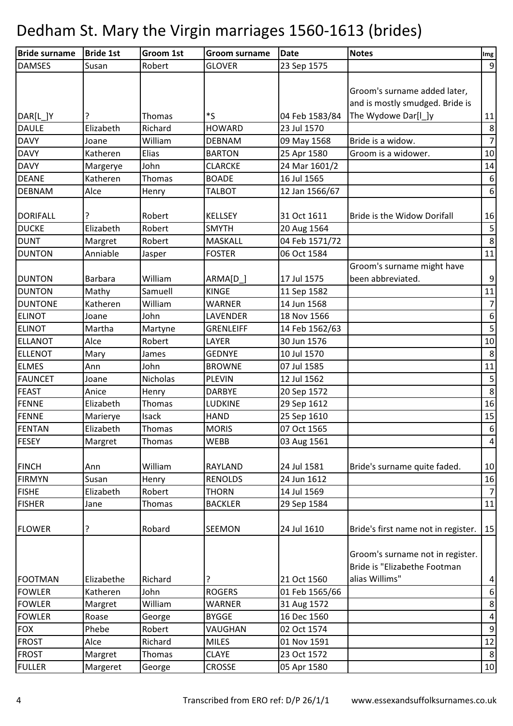| <b>Bride surname</b> | <b>Bride 1st</b> | Groom 1st     | <b>Groom surname</b> | <b>Date</b>    | <b>Notes</b>                                                     | Img                     |
|----------------------|------------------|---------------|----------------------|----------------|------------------------------------------------------------------|-------------------------|
| <b>DAMSES</b>        | Susan            | Robert        | <b>GLOVER</b>        | 23 Sep 1575    |                                                                  | $\boldsymbol{9}$        |
|                      |                  |               |                      |                | Groom's surname added later,<br>and is mostly smudged. Bride is  |                         |
| DAR[L_]Y             |                  | Thomas        | *ς                   | 04 Feb 1583/84 | The Wydowe Dar[I_]y                                              | 11                      |
| <b>DAULE</b>         | Elizabeth        | Richard       | <b>HOWARD</b>        | 23 Jul 1570    |                                                                  | $\bf 8$                 |
| <b>DAVY</b>          | Joane            | William       | <b>DEBNAM</b>        | 09 May 1568    | Bride is a widow.                                                | $\overline{7}$          |
| <b>DAVY</b>          | Katheren         | Elias         | <b>BARTON</b>        | 25 Apr 1580    | Groom is a widower.                                              | 10                      |
| <b>DAVY</b>          | Margerye         | John          | <b>CLARCKE</b>       | 24 Mar 1601/2  |                                                                  | 14                      |
| <b>DEANE</b>         | Katheren         | Thomas        | <b>BOADE</b>         | 16 Jul 1565    |                                                                  | $\boldsymbol{6}$        |
| <b>DEBNAM</b>        | Alce             | Henry         | <b>TALBOT</b>        | 12 Jan 1566/67 |                                                                  | $\sqrt{6}$              |
| <b>DORIFALL</b>      |                  | Robert        | <b>KELLSEY</b>       | 31 Oct 1611    | <b>Bride is the Widow Dorifall</b>                               | 16                      |
| <b>DUCKE</b>         | Elizabeth        | Robert        | <b>SMYTH</b>         | 20 Aug 1564    |                                                                  | $\sf 5$                 |
| <b>DUNT</b>          | Margret          | Robert        | <b>MASKALL</b>       | 04 Feb 1571/72 |                                                                  | $\bf 8$                 |
| <b>DUNTON</b>        | Anniable         | Jasper        | <b>FOSTER</b>        | 06 Oct 1584    |                                                                  | $11\,$                  |
| <b>DUNTON</b>        | <b>Barbara</b>   | William       | ARMA[D]              | 17 Jul 1575    | Groom's surname might have<br>been abbreviated.                  | $\boldsymbol{9}$        |
| <b>DUNTON</b>        | Mathy            | Samuell       | <b>KINGE</b>         | 11 Sep 1582    |                                                                  | 11                      |
| <b>DUNTONE</b>       | Katheren         | William       | <b>WARNER</b>        | 14 Jun 1568    |                                                                  | $\overline{7}$          |
| <b>ELINOT</b>        | Joane            | John          | LAVENDER             | 18 Nov 1566    |                                                                  | $\boldsymbol{6}$        |
| <b>ELINOT</b>        | Martha           | Martyne       | <b>GRENLEIFF</b>     | 14 Feb 1562/63 |                                                                  | $\overline{\mathbf{5}}$ |
| <b>ELLANOT</b>       | Alce             | Robert        | LAYER                | 30 Jun 1576    |                                                                  | 10                      |
| <b>ELLENOT</b>       | Mary             | James         | <b>GEDNYE</b>        | 10 Jul 1570    |                                                                  | $\,8\,$                 |
| <b>ELMES</b>         | Ann              | John          | <b>BROWNE</b>        | 07 Jul 1585    |                                                                  | $11\,$                  |
| <b>FAUNCET</b>       | Joane            | Nicholas      | <b>PLEVIN</b>        | 12 Jul 1562    |                                                                  | $\mathsf S$             |
| FEAST                | Anice            | Henry         | <b>DARBYE</b>        | 20 Sep 1572    |                                                                  | $\,8\,$                 |
| <b>FENNE</b>         | Elizabeth        | <b>Thomas</b> | LUDKINE              | 29 Sep 1612    |                                                                  | 16                      |
| <b>FENNE</b>         | Marierye         | Isack         | <b>HAND</b>          | 25 Sep 1610    |                                                                  | 15                      |
| <b>FENTAN</b>        | Elizabeth        | Thomas        | <b>MORIS</b>         | 07 Oct 1565    |                                                                  | $\boldsymbol{6}$        |
| <b>FESEY</b>         | Margret          | Thomas        | <b>WEBB</b>          | 03 Aug 1561    |                                                                  | $\sqrt{4}$              |
| <b>FINCH</b>         | Ann              | William       | <b>RAYLAND</b>       | 24 Jul 1581    | Bride's surname quite faded.                                     | 10                      |
| <b>FIRMYN</b>        | Susan            | Henry         | <b>RENOLDS</b>       | 24 Jun 1612    |                                                                  | 16                      |
| <b>FISHE</b>         | Elizabeth        | Robert        | <b>THORN</b>         | 14 Jul 1569    |                                                                  | $\overline{7}$          |
| <b>FISHER</b>        | Jane             | Thomas        | <b>BACKLER</b>       | 29 Sep 1584    |                                                                  | 11                      |
| <b>FLOWER</b>        | ?                | Robard        | <b>SEEMON</b>        | 24 Jul 1610    | Bride's first name not in register.                              | 15                      |
|                      |                  |               |                      |                | Groom's surname not in register.<br>Bride is "Elizabethe Footman |                         |
| <b>FOOTMAN</b>       | Elizabethe       | Richard       | ?                    | 21 Oct 1560    | alias Willims"                                                   | $\overline{a}$          |
| <b>FOWLER</b>        | Katheren         | John          | <b>ROGERS</b>        | 01 Feb 1565/66 |                                                                  | $\boldsymbol{6}$        |
| <b>FOWLER</b>        | Margret          | William       | WARNER               | 31 Aug 1572    |                                                                  | $\bf 8$                 |
| <b>FOWLER</b>        | Roase            | George        | <b>BYGGE</b>         | 16 Dec 1560    |                                                                  | $\pmb{4}$               |
| <b>FOX</b>           | Phebe            | Robert        | VAUGHAN              | 02 Oct 1574    |                                                                  | $\boldsymbol{9}$        |
| <b>FROST</b>         | Alce             | Richard       | <b>MILES</b>         | 01 Nov 1591    |                                                                  | 12                      |
| <b>FROST</b>         | Margret          | Thomas        | <b>CLAYE</b>         | 23 Oct 1572    |                                                                  | 8                       |
| <b>FULLER</b>        | Margeret         | George        | CROSSE               | 05 Apr 1580    |                                                                  | $10\,$                  |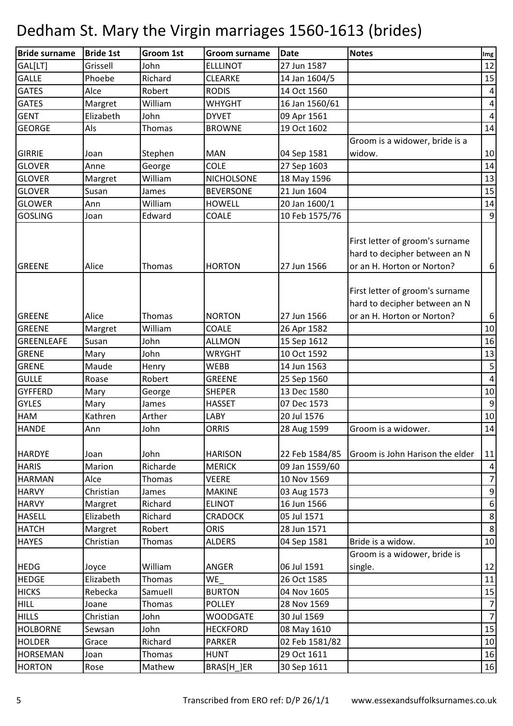| 27 Jun 1587<br>12<br>GAL[LT]<br>Grissell<br>John<br><b>ELLLINOT</b><br>15<br><b>GALLE</b><br>Richard<br>Phoebe<br><b>CLEARKE</b><br>14 Jan 1604/5<br><b>GATES</b><br>Robert<br>14 Oct 1560<br>Alce<br><b>RODIS</b><br>4<br><b>GATES</b><br>William<br><b>WHYGHT</b><br>4<br>Margret<br>16 Jan 1560/61<br><b>GENT</b><br><b>DYVET</b><br>Elizabeth<br>John<br>09 Apr 1561<br>$\overline{4}$<br>14<br>Thomas<br>19 Oct 1602<br><b>GEORGE</b><br>Als<br><b>BROWNE</b><br>Groom is a widower, bride is a<br>widow.<br>10<br><b>GIRRIE</b><br><b>MAN</b><br>04 Sep 1581<br>Joan<br>Stephen<br><b>COLE</b><br>14<br><b>GLOVER</b><br>George<br>27 Sep 1603<br>Anne<br>13<br><b>GLOVER</b><br>William<br><b>NICHOLSONE</b><br>18 May 1596<br>Margret<br>15<br><b>GLOVER</b><br><b>BEVERSONE</b><br>21 Jun 1604<br>James<br>Susan<br>William<br><b>GLOWER</b><br><b>HOWELL</b><br>20 Jan 1600/1<br>14<br>Ann |
|------------------------------------------------------------------------------------------------------------------------------------------------------------------------------------------------------------------------------------------------------------------------------------------------------------------------------------------------------------------------------------------------------------------------------------------------------------------------------------------------------------------------------------------------------------------------------------------------------------------------------------------------------------------------------------------------------------------------------------------------------------------------------------------------------------------------------------------------------------------------------------------------------|
|                                                                                                                                                                                                                                                                                                                                                                                                                                                                                                                                                                                                                                                                                                                                                                                                                                                                                                      |
|                                                                                                                                                                                                                                                                                                                                                                                                                                                                                                                                                                                                                                                                                                                                                                                                                                                                                                      |
|                                                                                                                                                                                                                                                                                                                                                                                                                                                                                                                                                                                                                                                                                                                                                                                                                                                                                                      |
|                                                                                                                                                                                                                                                                                                                                                                                                                                                                                                                                                                                                                                                                                                                                                                                                                                                                                                      |
|                                                                                                                                                                                                                                                                                                                                                                                                                                                                                                                                                                                                                                                                                                                                                                                                                                                                                                      |
|                                                                                                                                                                                                                                                                                                                                                                                                                                                                                                                                                                                                                                                                                                                                                                                                                                                                                                      |
|                                                                                                                                                                                                                                                                                                                                                                                                                                                                                                                                                                                                                                                                                                                                                                                                                                                                                                      |
|                                                                                                                                                                                                                                                                                                                                                                                                                                                                                                                                                                                                                                                                                                                                                                                                                                                                                                      |
|                                                                                                                                                                                                                                                                                                                                                                                                                                                                                                                                                                                                                                                                                                                                                                                                                                                                                                      |
|                                                                                                                                                                                                                                                                                                                                                                                                                                                                                                                                                                                                                                                                                                                                                                                                                                                                                                      |
|                                                                                                                                                                                                                                                                                                                                                                                                                                                                                                                                                                                                                                                                                                                                                                                                                                                                                                      |
|                                                                                                                                                                                                                                                                                                                                                                                                                                                                                                                                                                                                                                                                                                                                                                                                                                                                                                      |
| $\overline{9}$<br>Edward<br>10 Feb 1575/76<br><b>GOSLING</b><br>COALE<br>Joan                                                                                                                                                                                                                                                                                                                                                                                                                                                                                                                                                                                                                                                                                                                                                                                                                        |
|                                                                                                                                                                                                                                                                                                                                                                                                                                                                                                                                                                                                                                                                                                                                                                                                                                                                                                      |
| First letter of groom's surname                                                                                                                                                                                                                                                                                                                                                                                                                                                                                                                                                                                                                                                                                                                                                                                                                                                                      |
| hard to decipher between an N                                                                                                                                                                                                                                                                                                                                                                                                                                                                                                                                                                                                                                                                                                                                                                                                                                                                        |
| <b>HORTON</b><br>27 Jun 1566<br>or an H. Horton or Norton?<br><b>GREENE</b><br>Alice<br>Thomas<br>$\boldsymbol{6}$                                                                                                                                                                                                                                                                                                                                                                                                                                                                                                                                                                                                                                                                                                                                                                                   |
|                                                                                                                                                                                                                                                                                                                                                                                                                                                                                                                                                                                                                                                                                                                                                                                                                                                                                                      |
| First letter of groom's surname                                                                                                                                                                                                                                                                                                                                                                                                                                                                                                                                                                                                                                                                                                                                                                                                                                                                      |
| hard to decipher between an N                                                                                                                                                                                                                                                                                                                                                                                                                                                                                                                                                                                                                                                                                                                                                                                                                                                                        |
| <b>GREENE</b><br>Alice<br>Thomas<br><b>NORTON</b><br>27 Jun 1566<br>or an H. Horton or Norton?<br>$\boldsymbol{6}$                                                                                                                                                                                                                                                                                                                                                                                                                                                                                                                                                                                                                                                                                                                                                                                   |
| <b>GREENE</b><br>William<br><b>COALE</b>                                                                                                                                                                                                                                                                                                                                                                                                                                                                                                                                                                                                                                                                                                                                                                                                                                                             |
| $10\,$<br>26 Apr 1582<br>Margret                                                                                                                                                                                                                                                                                                                                                                                                                                                                                                                                                                                                                                                                                                                                                                                                                                                                     |
| 16<br>John<br><b>GREENLEAFE</b><br>Susan<br><b>ALLMON</b><br>15 Sep 1612                                                                                                                                                                                                                                                                                                                                                                                                                                                                                                                                                                                                                                                                                                                                                                                                                             |
| 13<br><b>GRENE</b><br>John<br>10 Oct 1592<br><b>WRYGHT</b><br>Mary                                                                                                                                                                                                                                                                                                                                                                                                                                                                                                                                                                                                                                                                                                                                                                                                                                   |
| $\mathsf S$<br><b>GRENE</b><br>Maude<br>14 Jun 1563<br><b>WEBB</b><br>Henry                                                                                                                                                                                                                                                                                                                                                                                                                                                                                                                                                                                                                                                                                                                                                                                                                          |
| $\overline{\mathbf{4}}$<br><b>GULLE</b><br>Robert<br><b>GREENE</b><br>Roase<br>25 Sep 1560                                                                                                                                                                                                                                                                                                                                                                                                                                                                                                                                                                                                                                                                                                                                                                                                           |
| 13 Dec 1580<br>$10\,$<br><b>GYFFERD</b><br><b>SHEPER</b><br>Mary<br>George                                                                                                                                                                                                                                                                                                                                                                                                                                                                                                                                                                                                                                                                                                                                                                                                                           |
| 9<br><b>GYLES</b><br><b>HASSET</b><br>07 Dec 1573<br>Mary<br>James                                                                                                                                                                                                                                                                                                                                                                                                                                                                                                                                                                                                                                                                                                                                                                                                                                   |
| <b>HAM</b><br>Kathren<br>Arther<br>LABY<br>20 Jul 1576<br>10                                                                                                                                                                                                                                                                                                                                                                                                                                                                                                                                                                                                                                                                                                                                                                                                                                         |
| 14<br><b>HANDE</b><br>John<br><b>ORRIS</b><br>28 Aug 1599<br>Groom is a widower.<br>Ann                                                                                                                                                                                                                                                                                                                                                                                                                                                                                                                                                                                                                                                                                                                                                                                                              |
|                                                                                                                                                                                                                                                                                                                                                                                                                                                                                                                                                                                                                                                                                                                                                                                                                                                                                                      |
| John<br>22 Feb 1584/85<br>Groom is John Harison the elder<br>11<br><b>HARDYE</b><br><b>HARISON</b><br>Joan                                                                                                                                                                                                                                                                                                                                                                                                                                                                                                                                                                                                                                                                                                                                                                                           |
| Richarde<br>$\vert 4 \vert$<br><b>HARIS</b><br>Marion<br><b>MERICK</b><br>09 Jan 1559/60                                                                                                                                                                                                                                                                                                                                                                                                                                                                                                                                                                                                                                                                                                                                                                                                             |
| $\overline{7}$<br>Alce<br>10 Nov 1569<br><b>HARMAN</b><br>Thomas<br><b>VEERE</b>                                                                                                                                                                                                                                                                                                                                                                                                                                                                                                                                                                                                                                                                                                                                                                                                                     |
| $\boldsymbol{9}$<br><b>HARVY</b><br>Christian<br><b>MAKINE</b><br>03 Aug 1573<br>James                                                                                                                                                                                                                                                                                                                                                                                                                                                                                                                                                                                                                                                                                                                                                                                                               |
| $\boldsymbol{6}$<br>Richard<br><b>ELINOT</b><br>16 Jun 1566<br><b>HARVY</b><br>Margret                                                                                                                                                                                                                                                                                                                                                                                                                                                                                                                                                                                                                                                                                                                                                                                                               |
| $\,8\,$<br>Elizabeth<br>Richard<br>05 Jul 1571<br><b>HASELL</b><br><b>CRADOCK</b>                                                                                                                                                                                                                                                                                                                                                                                                                                                                                                                                                                                                                                                                                                                                                                                                                    |
| $\boldsymbol{8}$<br><b>HATCH</b><br>Robert<br><b>ORIS</b><br>28 Jun 1571<br>Margret                                                                                                                                                                                                                                                                                                                                                                                                                                                                                                                                                                                                                                                                                                                                                                                                                  |
| Bride is a widow.<br>10<br><b>HAYES</b><br>Christian<br><b>ALDERS</b><br>04 Sep 1581<br>Thomas                                                                                                                                                                                                                                                                                                                                                                                                                                                                                                                                                                                                                                                                                                                                                                                                       |
| Groom is a widower, bride is                                                                                                                                                                                                                                                                                                                                                                                                                                                                                                                                                                                                                                                                                                                                                                                                                                                                         |
| 12<br>William<br>06 Jul 1591<br><b>HEDG</b><br><b>ANGER</b><br>single.<br>Joyce                                                                                                                                                                                                                                                                                                                                                                                                                                                                                                                                                                                                                                                                                                                                                                                                                      |
| <b>HEDGE</b><br>Elizabeth<br>WE<br>11<br>Thomas<br>26 Oct 1585                                                                                                                                                                                                                                                                                                                                                                                                                                                                                                                                                                                                                                                                                                                                                                                                                                       |
| 15<br><b>HICKS</b><br>Rebecka<br><b>BURTON</b><br>Samuell<br>04 Nov 1605                                                                                                                                                                                                                                                                                                                                                                                                                                                                                                                                                                                                                                                                                                                                                                                                                             |
| <b>HILL</b><br>Thomas<br><b>POLLEY</b><br>28 Nov 1569<br>$\overline{7}$<br>Joane                                                                                                                                                                                                                                                                                                                                                                                                                                                                                                                                                                                                                                                                                                                                                                                                                     |
| $\overline{7}$<br>Christian<br>John<br><b>WOODGATE</b><br>30 Jul 1569<br><b>HILLS</b>                                                                                                                                                                                                                                                                                                                                                                                                                                                                                                                                                                                                                                                                                                                                                                                                                |
| 15<br><b>HOLBORNE</b><br>John<br><b>HECKFORD</b><br>08 May 1610<br>Sewsan                                                                                                                                                                                                                                                                                                                                                                                                                                                                                                                                                                                                                                                                                                                                                                                                                            |
| 10<br><b>HOLDER</b><br>Richard<br><b>PARKER</b><br>02 Feb 1581/82<br>Grace                                                                                                                                                                                                                                                                                                                                                                                                                                                                                                                                                                                                                                                                                                                                                                                                                           |
| 29 Oct 1611<br>16<br><b>HORSEMAN</b><br>Thomas<br><b>HUNT</b><br>Joan                                                                                                                                                                                                                                                                                                                                                                                                                                                                                                                                                                                                                                                                                                                                                                                                                                |
| BRAS[H_]ER<br>30 Sep 1611<br>16<br><b>HORTON</b><br>Mathew<br>Rose                                                                                                                                                                                                                                                                                                                                                                                                                                                                                                                                                                                                                                                                                                                                                                                                                                   |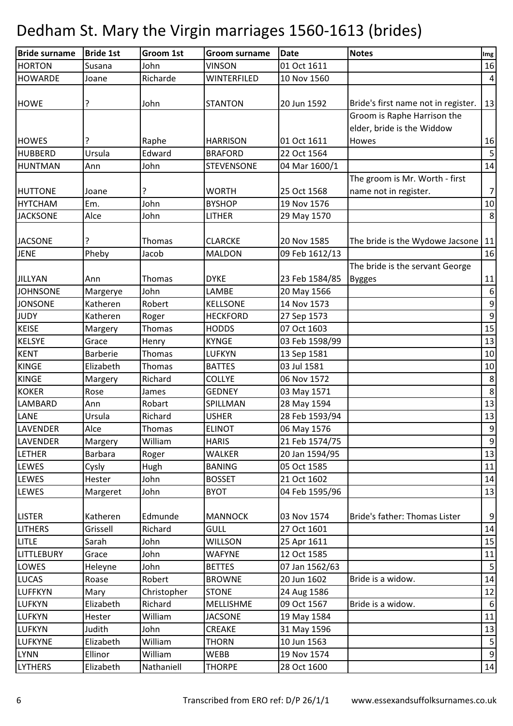| <b>Bride surname</b> | <b>Bride 1st</b> | Groom 1st   | <b>Groom surname</b> | <b>Date</b>    | <b>Notes</b>                        | Img              |
|----------------------|------------------|-------------|----------------------|----------------|-------------------------------------|------------------|
| <b>HORTON</b>        | Susana           | John        | <b>VINSON</b>        | 01 Oct 1611    |                                     | 16               |
| <b>HOWARDE</b>       | Joane            | Richarde    | WINTERFILED          | 10 Nov 1560    |                                     | $\vert 4 \vert$  |
|                      |                  |             |                      |                |                                     |                  |
| <b>HOWE</b>          |                  | John        | <b>STANTON</b>       | 20 Jun 1592    | Bride's first name not in register. | 13               |
|                      |                  |             |                      |                | Groom is Raphe Harrison the         |                  |
|                      |                  |             |                      |                | elder, bride is the Widdow          |                  |
| <b>HOWES</b>         |                  | Raphe       | <b>HARRISON</b>      | 01 Oct 1611    | Howes                               | 16               |
| <b>HUBBERD</b>       | Ursula           | Edward      | <b>BRAFORD</b>       | 22 Oct 1564    |                                     | $\overline{5}$   |
| HUNTMAN              | Ann              | John        | <b>STEVENSONE</b>    | 04 Mar 1600/1  |                                     | 14               |
|                      |                  |             |                      |                | The groom is Mr. Worth - first      |                  |
| <b>HUTTONE</b>       | Joane            | ?           | <b>WORTH</b>         | 25 Oct 1568    | name not in register.               | 7                |
| <b>HYTCHAM</b>       | Em.              | John        | <b>BYSHOP</b>        | 19 Nov 1576    |                                     | 10               |
| <b>JACKSONE</b>      | Alce             | John        | LITHER               | 29 May 1570    |                                     | $\,8\,$          |
|                      |                  |             |                      |                |                                     |                  |
| <b>JACSONE</b>       |                  | Thomas      | <b>CLARCKE</b>       | 20 Nov 1585    | The bride is the Wydowe Jacsone     | 11               |
| <b>JENE</b>          | Pheby            | Jacob       | <b>MALDON</b>        | 09 Feb 1612/13 |                                     | 16               |
|                      |                  |             |                      |                | The bride is the servant George     |                  |
| <b>JILLYAN</b>       | Ann              | Thomas      | <b>DYKE</b>          | 23 Feb 1584/85 | <b>Bygges</b>                       | 11               |
| <b>JOHNSONE</b>      | Margerye         | John        | LAMBE                | 20 May 1566    |                                     | $\boldsymbol{6}$ |
| <b>JONSONE</b>       | Katheren         | Robert      | <b>KELLSONE</b>      | 14 Nov 1573    |                                     | $\boldsymbol{9}$ |
| <b>JUDY</b>          | Katheren         | Roger       | <b>HECKFORD</b>      | 27 Sep 1573    |                                     | $\overline{9}$   |
| <b>KEISE</b>         | Margery          | Thomas      | <b>HODDS</b>         | 07 Oct 1603    |                                     | 15               |
| <b>KELSYE</b>        | Grace            | Henry       | <b>KYNGE</b>         | 03 Feb 1598/99 |                                     | 13               |
| <b>KENT</b>          | Barberie         | Thomas      | <b>LUFKYN</b>        | 13 Sep 1581    |                                     | $10\,$           |
| <b>KINGE</b>         | Elizabeth        | Thomas      | <b>BATTES</b>        | 03 Jul 1581    |                                     | 10               |
| <b>KINGE</b>         | Margery          | Richard     | <b>COLLYE</b>        | 06 Nov 1572    |                                     | $\,$ 8 $\,$      |
| <b>KOKER</b>         | Rose             | James       | <b>GEDNEY</b>        | 03 May 1571    |                                     | $\,8\,$          |
| LAMBARD              | Ann              | Robart      | SPILLMAN             | 28 May 1594    |                                     | 13               |
| LANE                 | Ursula           | Richard     | <b>USHER</b>         | 28 Feb 1593/94 |                                     | 13               |
| <b>LAVENDER</b>      | Alce             | Thomas      | <b>ELINOT</b>        | 06 May 1576    |                                     | $\boldsymbol{9}$ |
| <b>LAVENDER</b>      | Margery          | William     | <b>HARIS</b>         | 21 Feb 1574/75 |                                     | $\overline{9}$   |
| <b>LETHER</b>        | <b>Barbara</b>   | Roger       | WALKER               | 20 Jan 1594/95 |                                     | 13               |
| <b>LEWES</b>         | Cysly            | Hugh        | <b>BANING</b>        | 05 Oct 1585    |                                     | 11               |
| <b>LEWES</b>         | Hester           | John        | <b>BOSSET</b>        | 21 Oct 1602    |                                     | 14               |
| <b>LEWES</b>         | Margeret         | John        | <b>BYOT</b>          | 04 Feb 1595/96 |                                     | 13               |
|                      |                  |             |                      |                |                                     |                  |
| <b>LISTER</b>        | Katheren         | Edmunde     | <b>MANNOCK</b>       | 03 Nov 1574    | Bride's father: Thomas Lister       | $\boldsymbol{9}$ |
| <b>LITHERS</b>       | Grissell         | Richard     | <b>GULL</b>          | 27 Oct 1601    |                                     | 14               |
| <b>LITLE</b>         | Sarah            | John        | <b>WILLSON</b>       | 25 Apr 1611    |                                     | 15               |
| <b>LITTLEBURY</b>    | Grace            | John        | <b>WAFYNE</b>        | 12 Oct 1585    |                                     | 11               |
| LOWES                | Heleyne          | John        | <b>BETTES</b>        | 07 Jan 1562/63 |                                     | 5                |
| <b>LUCAS</b>         | Roase            | Robert      | <b>BROWNE</b>        | 20 Jun 1602    | Bride is a widow.                   | 14               |
| <b>LUFFKYN</b>       | Mary             | Christopher | <b>STONE</b>         | 24 Aug 1586    |                                     | 12               |
| <b>LUFKYN</b>        | Elizabeth        | Richard     | MELLISHME            | 09 Oct 1567    | Bride is a widow.                   | 6                |
| <b>LUFKYN</b>        | Hester           | William     | <b>JACSONE</b>       | 19 May 1584    |                                     | 11               |
| <b>LUFKYN</b>        | Judith           | John        | <b>CREAKE</b>        | 31 May 1596    |                                     | 13               |
| <b>LUFKYNE</b>       | Elizabeth        | William     | <b>THORN</b>         | 10 Jun 1563    |                                     | $\mathsf S$      |
| <b>LYNN</b>          | Ellinor          | William     | <b>WEBB</b>          | 19 Nov 1574    |                                     | $\overline{9}$   |
| <b>LYTHERS</b>       | Elizabeth        | Nathaniell  | <b>THORPE</b>        | 28 Oct 1600    |                                     | 14               |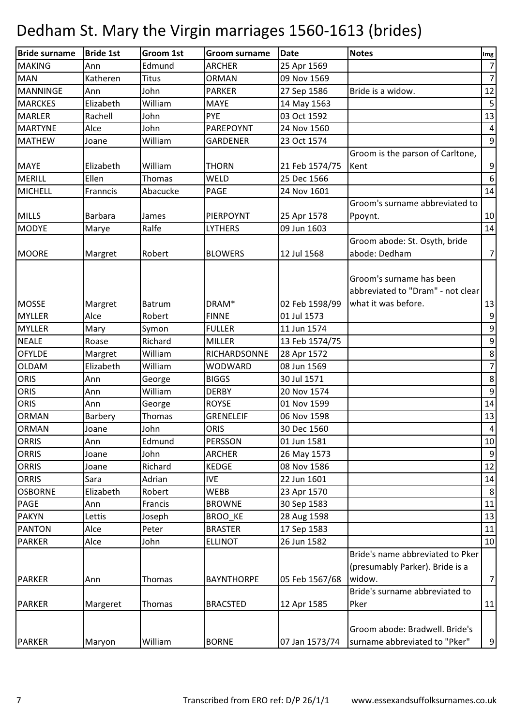| <b>Bride surname</b> | <b>Bride 1st</b> | Groom 1st     | <b>Groom surname</b> | <b>Date</b>    | <b>Notes</b>                                                                  | Img              |
|----------------------|------------------|---------------|----------------------|----------------|-------------------------------------------------------------------------------|------------------|
| <b>MAKING</b>        | Ann              | Edmund        | <b>ARCHER</b>        | 25 Apr 1569    |                                                                               | $\overline{7}$   |
| <b>MAN</b>           | Katheren         | <b>Titus</b>  | <b>ORMAN</b>         | 09 Nov 1569    |                                                                               | $\overline{7}$   |
| <b>MANNINGE</b>      | Ann              | John          | <b>PARKER</b>        | 27 Sep 1586    | Bride is a widow.                                                             | 12               |
| <b>MARCKES</b>       | Elizabeth        | William       | <b>MAYE</b>          | 14 May 1563    |                                                                               | 5                |
| <b>MARLER</b>        | Rachell          | John          | <b>PYE</b>           | 03 Oct 1592    |                                                                               | 13               |
| <b>MARTYNE</b>       | Alce             | John          | PAREPOYNT            | 24 Nov 1560    |                                                                               | $\overline{a}$   |
| <b>MATHEW</b>        | Joane            | William       | <b>GARDENER</b>      | 23 Oct 1574    |                                                                               | $\mathsf 9$      |
|                      |                  |               |                      |                | Groom is the parson of Carltone,                                              |                  |
| <b>MAYE</b>          | Elizabeth        | William       | <b>THORN</b>         | 21 Feb 1574/75 | Kent                                                                          | $\boldsymbol{9}$ |
| <b>MERILL</b>        | Ellen            | <b>Thomas</b> | <b>WELD</b>          | 25 Dec 1566    |                                                                               | $\sqrt{6}$       |
| <b>MICHELL</b>       | Franncis         | Abacucke      | <b>PAGE</b>          | 24 Nov 1601    |                                                                               | 14               |
|                      |                  |               |                      |                | Groom's surname abbreviated to                                                |                  |
| <b>MILLS</b>         | <b>Barbara</b>   | James         | PIERPOYNT            | 25 Apr 1578    | Ppoynt.                                                                       | 10               |
| <b>MODYE</b>         | Marye            | Ralfe         | <b>LYTHERS</b>       | 09 Jun 1603    |                                                                               | 14               |
|                      |                  |               |                      |                | Groom abode: St. Osyth, bride                                                 |                  |
| <b>MOORE</b>         | Margret          | Robert        | <b>BLOWERS</b>       | 12 Jul 1568    | abode: Dedham                                                                 | $\overline{7}$   |
|                      |                  |               |                      |                | Groom's surname has been<br>abbreviated to "Dram" - not clear                 |                  |
| <b>MOSSE</b>         | Margret          | <b>Batrum</b> | DRAM*                | 02 Feb 1598/99 | what it was before.                                                           | 13               |
| <b>MYLLER</b>        | Alce             | Robert        | <b>FINNE</b>         | 01 Jul 1573    |                                                                               | 9                |
| <b>MYLLER</b>        | Mary             | Symon         | <b>FULLER</b>        | 11 Jun 1574    |                                                                               | $\boldsymbol{9}$ |
| <b>NEALE</b>         | Roase            | Richard       | <b>MILLER</b>        | 13 Feb 1574/75 |                                                                               | $\boldsymbol{9}$ |
| <b>OFYLDE</b>        | Margret          | William       | RICHARDSONNE         | 28 Apr 1572    |                                                                               | $\infty$         |
| <b>OLDAM</b>         | Elizabeth        | William       | <b>WODWARD</b>       | 08 Jun 1569    |                                                                               | $\overline{7}$   |
| <b>ORIS</b>          | Ann              | George        | <b>BIGGS</b>         | 30 Jul 1571    |                                                                               | $\bf 8$          |
| <b>ORIS</b>          | Ann              | William       | <b>DERBY</b>         | 20 Nov 1574    |                                                                               | $\boldsymbol{9}$ |
| <b>ORIS</b>          | Ann              | George        | <b>ROYSE</b>         | 01 Nov 1599    |                                                                               | 14               |
| <b>ORMAN</b>         | Barbery          | <b>Thomas</b> | <b>GRENELEIF</b>     | 06 Nov 1598    |                                                                               | 13               |
| <b>ORMAN</b>         | Joane            | John          | <b>ORIS</b>          | 30 Dec 1560    |                                                                               | $\overline{4}$   |
| <b>ORRIS</b>         | Ann              | Edmund        | <b>PERSSON</b>       | 01 Jun 1581    |                                                                               | 10               |
| <b>ORRIS</b>         | Joane            | John          | <b>ARCHER</b>        | 26 May 1573    |                                                                               | $9\,$            |
| <b>ORRIS</b>         | Joane            | Richard       | <b>KEDGE</b>         | 08 Nov 1586    |                                                                               | 12               |
| <b>ORRIS</b>         | Sara             | Adrian        | <b>IVE</b>           | 22 Jun 1601    |                                                                               | 14               |
| <b>OSBORNE</b>       | Elizabeth        | Robert        | WEBB                 | 23 Apr 1570    |                                                                               | 8                |
| PAGE                 | Ann              | Francis       | <b>BROWNE</b>        | 30 Sep 1583    |                                                                               | 11               |
| <b>PAKYN</b>         | Lettis           | Joseph        | <b>BROO KE</b>       | 28 Aug 1598    |                                                                               | 13               |
| <b>PANTON</b>        | Alce             | Peter         | <b>BRASTER</b>       | 17 Sep 1583    |                                                                               | 11               |
| <b>PARKER</b>        | Alce             | John          | <b>ELLINOT</b>       | 26 Jun 1582    |                                                                               | 10               |
| <b>PARKER</b>        | Ann              | Thomas        | <b>BAYNTHORPE</b>    | 05 Feb 1567/68 | Bride's name abbreviated to Pker<br>(presumably Parker). Bride is a<br>widow. | $\overline{7}$   |
|                      |                  |               |                      |                | Bride's surname abbreviated to                                                |                  |
| <b>PARKER</b>        | Margeret         | Thomas        | <b>BRACSTED</b>      | 12 Apr 1585    | Pker                                                                          | 11               |
| <b>PARKER</b>        | Maryon           | William       | <b>BORNE</b>         | 07 Jan 1573/74 | Groom abode: Bradwell. Bride's<br>surname abbreviated to "Pker"               | $\mathsf 9$      |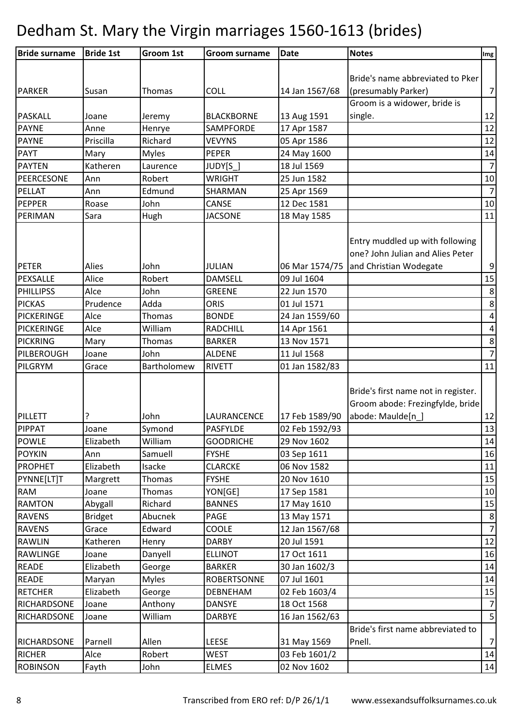| <b>Bride surname</b>        | <b>Bride 1st</b> | Groom 1st         | <b>Groom surname</b>        | <b>Date</b>                | <b>Notes</b>                                                                                 | Img                       |
|-----------------------------|------------------|-------------------|-----------------------------|----------------------------|----------------------------------------------------------------------------------------------|---------------------------|
|                             |                  |                   |                             |                            |                                                                                              |                           |
|                             |                  |                   |                             |                            | Bride's name abbreviated to Pker                                                             |                           |
| <b>PARKER</b>               | Susan            | Thomas            | <b>COLL</b>                 | 14 Jan 1567/68             | (presumably Parker)                                                                          | $\overline{7}$            |
|                             |                  |                   |                             |                            | Groom is a widower, bride is                                                                 |                           |
| <b>PASKALL</b>              | Joane            | Jeremy            | <b>BLACKBORNE</b>           | 13 Aug 1591                | single.                                                                                      | 12                        |
| <b>PAYNE</b>                | Anne             | Henrye            | <b>SAMPFORDE</b>            | 17 Apr 1587                |                                                                                              | 12                        |
| <b>PAYNE</b>                | Priscilla        | Richard           | <b>VEVYNS</b>               | 05 Apr 1586                |                                                                                              | 12                        |
| <b>PAYT</b>                 | Mary             | <b>Myles</b>      | <b>PEPER</b>                | 24 May 1600                |                                                                                              | 14                        |
| <b>PAYTEN</b>               | Katheren         | Laurence          | JUDY[S ]                    | 18 Jul 1569                |                                                                                              | $\overline{7}$            |
| PEERCESONE                  | Ann              | Robert            | <b>WRIGHT</b>               | 25 Jun 1582                |                                                                                              | 10                        |
| PELLAT                      | Ann              | Edmund            | SHARMAN                     | 25 Apr 1569                |                                                                                              | $\overline{7}$            |
| PEPPER                      | Roase            | John              | <b>CANSE</b>                | 12 Dec 1581                |                                                                                              | 10                        |
| PERIMAN                     | Sara             | Hugh              | <b>JACSONE</b>              | 18 May 1585                |                                                                                              | 11                        |
|                             |                  |                   |                             |                            | Entry muddled up with following<br>one? John Julian and Alies Peter                          |                           |
| <b>PETER</b>                | Alies            | John              | <b>JULIAN</b>               | 06 Mar 1574/75             | and Christian Wodegate                                                                       | $\boldsymbol{9}$          |
| PEXSALLE                    | Alice            | Robert            | <b>DAMSELL</b>              | 09 Jul 1604                |                                                                                              | 15                        |
| PHILLIPSS                   | Alce             | John<br>Adda      | <b>GREENE</b>               | 22 Jun 1570<br>01 Jul 1571 |                                                                                              | $\,8\,$<br>$\,8\,$        |
| <b>PICKAS</b><br>PICKERINGE | Prudence<br>Alce |                   | <b>ORIS</b><br><b>BONDE</b> |                            |                                                                                              |                           |
|                             |                  | Thomas<br>William |                             | 24 Jan 1559/60             |                                                                                              | $\pmb{4}$                 |
| <b>PICKERINGE</b>           | Alce             |                   | <b>RADCHILL</b>             | 14 Apr 1561<br>13 Nov 1571 |                                                                                              | $\pmb{4}$                 |
| <b>PICKRING</b>             | Mary             | Thomas            | <b>BARKER</b>               |                            |                                                                                              | $\,8\,$<br>$\overline{7}$ |
| PILBEROUGH                  | Joane            | John              | <b>ALDENE</b>               | 11 Jul 1568                |                                                                                              |                           |
| PILGRYM                     | Grace            | Bartholomew       | <b>RIVETT</b>               | 01 Jan 1582/83             |                                                                                              | 11                        |
| PILLETT                     |                  | John              | LAURANCENCE                 | 17 Feb 1589/90             | Bride's first name not in register.<br>Groom abode: Frezingfylde, bride<br>abode: Maulde[n ] | 12                        |
| <b>PIPPAT</b>               | Joane            | Symond            | <b>PASFYLDE</b>             | 02 Feb 1592/93             |                                                                                              | 13                        |
| <b>POWLE</b>                | Elizabeth        | William           | <b>GOODRICHE</b>            | 29 Nov 1602                |                                                                                              | 14                        |
| <b>POYKIN</b>               | Ann              | Samuell           | <b>FYSHE</b>                | 03 Sep 1611                |                                                                                              | 16                        |
| PROPHET                     | Elizabeth        | Isacke            | <b>CLARCKE</b>              | 06 Nov 1582                |                                                                                              | 11                        |
| PYNNE[LT]T                  | Margrett         | Thomas            | <b>FYSHE</b>                | 20 Nov 1610                |                                                                                              | 15                        |
| <b>RAM</b>                  | Joane            | Thomas            | YON[GE]                     | 17 Sep 1581                |                                                                                              | 10                        |
| <b>RAMTON</b>               | Abygall          | Richard           | <b>BANNES</b>               | 17 May 1610                |                                                                                              | 15                        |
| <b>RAVENS</b>               | <b>Bridget</b>   | Abucnek           | PAGE                        | 13 May 1571                |                                                                                              | $\bf 8$                   |
| <b>RAVENS</b>               | Grace            | Edward            | COOLE                       | 12 Jan 1567/68             |                                                                                              | $\overline{7}$            |
| <b>RAWLIN</b>               | Katheren         | Henry             | <b>DARBY</b>                | 20 Jul 1591                |                                                                                              | 12                        |
| RAWLINGE                    | Joane            | Danyell           | <b>ELLINOT</b>              | 17 Oct 1611                |                                                                                              | 16                        |
| <b>READE</b>                | Elizabeth        | George            | <b>BARKER</b>               | 30 Jan 1602/3              |                                                                                              | 14                        |
| <b>READE</b>                | Maryan           | <b>Myles</b>      | <b>ROBERTSONNE</b>          | 07 Jul 1601                |                                                                                              | 14                        |
| <b>RETCHER</b>              | Elizabeth        | George            | DEBNEHAM                    | 02 Feb 1603/4              |                                                                                              | 15                        |
| RICHARDSONE                 | Joane            | Anthony           | <b>DANSYE</b>               | 18 Oct 1568                |                                                                                              | $\overline{7}$            |
| RICHARDSONE                 | Joane            | William           | <b>DARBYE</b>               | 16 Jan 1562/63             |                                                                                              | $5\overline{)}$           |
|                             |                  |                   |                             |                            | Bride's first name abbreviated to                                                            |                           |
| <b>RICHARDSONE</b>          | Parnell          | Allen             | <b>LEESE</b>                | 31 May 1569                | Pnell.                                                                                       | $\overline{7}$            |
| <b>RICHER</b>               | Alce             | Robert            | <b>WEST</b>                 | 03 Feb 1601/2              |                                                                                              | 14                        |
| <b>ROBINSON</b>             | Fayth            | John              | <b>ELMES</b>                | 02 Nov 1602                |                                                                                              | 14                        |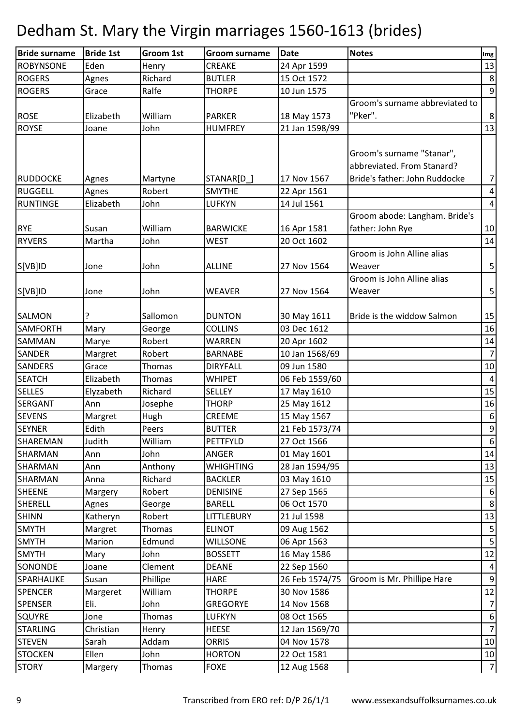| <b>Bride surname</b> | <b>Bride 1st</b> | Groom 1st     | <b>Groom surname</b> | <b>Date</b>    | <b>Notes</b>                   | Img                     |
|----------------------|------------------|---------------|----------------------|----------------|--------------------------------|-------------------------|
| <b>ROBYNSONE</b>     | Eden             | Henry         | <b>CREAKE</b>        | 24 Apr 1599    |                                | 13                      |
| <b>ROGERS</b>        | Agnes            | Richard       | <b>BUTLER</b>        | 15 Oct 1572    |                                | $\bf 8$                 |
| <b>ROGERS</b>        | Grace            | Ralfe         | <b>THORPE</b>        | 10 Jun 1575    |                                | $\boldsymbol{9}$        |
|                      |                  |               |                      |                | Groom's surname abbreviated to |                         |
| <b>ROSE</b>          | Elizabeth        | William       | <b>PARKER</b>        | 18 May 1573    | "Pker".                        | $\,8\,$                 |
| <b>ROYSE</b>         | Joane            | John          | <b>HUMFREY</b>       | 21 Jan 1598/99 |                                | 13                      |
|                      |                  |               |                      |                |                                |                         |
|                      |                  |               |                      |                | Groom's surname "Stanar",      |                         |
|                      |                  |               |                      |                | abbreviated. From Stanard?     |                         |
| <b>RUDDOCKE</b>      | Agnes            | Martyne       | STANAR[D_]           | 17 Nov 1567    | Bride's father: John Ruddocke  | $\overline{7}$          |
| <b>RUGGELL</b>       | Agnes            | Robert        | <b>SMYTHE</b>        | 22 Apr 1561    |                                | $\overline{a}$          |
| <b>RUNTINGE</b>      | Elizabeth        | John          | LUFKYN               | 14 Jul 1561    |                                | $\pmb{4}$               |
|                      |                  |               |                      |                | Groom abode: Langham. Bride's  |                         |
| <b>RYE</b>           | Susan            | William       | <b>BARWICKE</b>      | 16 Apr 1581    | father: John Rye               | 10                      |
| <b>RYVERS</b>        | Martha           | John          | <b>WEST</b>          | 20 Oct 1602    |                                | 14                      |
|                      |                  |               |                      |                | Groom is John Alline alias     |                         |
| S[VB]ID              | Jone             | John          | <b>ALLINE</b>        | 27 Nov 1564    | Weaver                         | $\sf 5$                 |
|                      |                  |               |                      |                | Groom is John Alline alias     |                         |
| S[VB]ID              | Jone             | John          | <b>WEAVER</b>        | 27 Nov 1564    | Weaver                         | $\overline{5}$          |
|                      |                  |               |                      |                |                                |                         |
| <b>SALMON</b>        | ?                | Sallomon      | <b>DUNTON</b>        | 30 May 1611    | Bride is the widdow Salmon     | 15                      |
| <b>SAMFORTH</b>      | Mary             | George        | <b>COLLINS</b>       | 03 Dec 1612    |                                | 16                      |
| SAMMAN               | Marye            | Robert        | <b>WARREN</b>        | 20 Apr 1602    |                                | 14                      |
| <b>SANDER</b>        | Margret          | Robert        | <b>BARNABE</b>       | 10 Jan 1568/69 |                                | $\overline{7}$          |
| <b>SANDERS</b>       | Grace            | Thomas        | <b>DIRYFALL</b>      | 09 Jun 1580    |                                | 10                      |
| <b>SEATCH</b>        | Elizabeth        | Thomas        | <b>WHIPET</b>        | 06 Feb 1559/60 |                                | $\pmb{4}$               |
| <b>SELLES</b>        | Elyzabeth        | Richard       | <b>SELLEY</b>        | 17 May 1610    |                                | 15                      |
| <b>SERGANT</b>       | Ann              | Josephe       | <b>THORP</b>         | 25 May 1612    |                                | 16                      |
| <b>SEVENS</b>        | Margret          | Hugh          | CREEME               | 15 May 1567    |                                | $\boldsymbol{6}$        |
| <b>SEYNER</b>        | Edith            | Peers         | <b>BUTTER</b>        | 21 Feb 1573/74 |                                | $\boldsymbol{9}$        |
| SHAREMAN             | Judith           | William       | PETTFYLD             | 27 Oct 1566    |                                | 6                       |
| SHARMAN              | Ann              | John          | ANGER                | 01 May 1601    |                                | 14                      |
| <b>SHARMAN</b>       | Ann              | Anthony       | <b>WHIGHTING</b>     | 28 Jan 1594/95 |                                | 13                      |
| <b>SHARMAN</b>       | Anna             | Richard       | <b>BACKLER</b>       | 03 May 1610    |                                | 15                      |
| <b>SHEENE</b>        | Margery          | Robert        | <b>DENISINE</b>      | 27 Sep 1565    |                                | 6                       |
| SHERELL              | Agnes            | George        | <b>BARELL</b>        | 06 Oct 1570    |                                | $\bf 8$                 |
| <b>SHINN</b>         | Katheryn         | Robert        | LITTLEBURY           | 21 Jul 1598    |                                | 13                      |
| <b>SMYTH</b>         | Margret          | Thomas        | <b>ELINOT</b>        | 09 Aug 1562    |                                | $\mathsf S$             |
| <b>SMYTH</b>         | Marion           | Edmund        | <b>WILLSONE</b>      | 06 Apr 1563    |                                | $\overline{\mathbf{5}}$ |
| <b>SMYTH</b>         | Mary             | John          | <b>BOSSETT</b>       | 16 May 1586    |                                | 12                      |
| SONONDE              | Joane            | Clement       | <b>DEANE</b>         | 22 Sep 1560    |                                | $\overline{a}$          |
| SPARHAUKE            | Susan            | Phillipe      | <b>HARE</b>          | 26 Feb 1574/75 | Groom is Mr. Phillipe Hare     | 9                       |
| <b>SPENCER</b>       | Margeret         | William       | <b>THORPE</b>        | 30 Nov 1586    |                                | 12                      |
| <b>SPENSER</b>       | Eli.             | John          | <b>GREGORYE</b>      | 14 Nov 1568    |                                | $\overline{7}$          |
| <b>SQUYRE</b>        | Jone             | <b>Thomas</b> | LUFKYN               | 08 Oct 1565    |                                | $\sqrt{6}$              |
| <b>STARLING</b>      | Christian        | Henry         | <b>HEESE</b>         | 12 Jan 1569/70 |                                | $\overline{7}$          |
| <b>STEVEN</b>        | Sarah            | Addam         | <b>ORRIS</b>         | 04 Nov 1578    |                                | 10                      |
| <b>STOCKEN</b>       | Ellen            | John          | <b>HORTON</b>        | 22 Oct 1581    |                                | 10                      |
| <b>STORY</b>         | Margery          | Thomas        | <b>FOXE</b>          | 12 Aug 1568    |                                | $\overline{7}$          |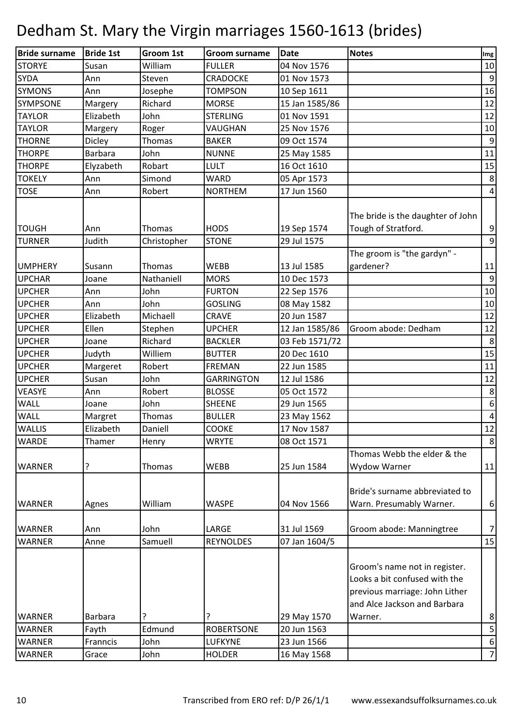| <b>Bride surname</b>          | <b>Bride 1st</b> | Groom 1st             | <b>Groom surname</b>        | <b>Date</b>                | <b>Notes</b>                                                                                                                                | Img                                |
|-------------------------------|------------------|-----------------------|-----------------------------|----------------------------|---------------------------------------------------------------------------------------------------------------------------------------------|------------------------------------|
| <b>STORYE</b>                 | Susan            | William               | <b>FULLER</b>               | 04 Nov 1576                |                                                                                                                                             | 10                                 |
| <b>SYDA</b>                   | Ann              | Steven                | <b>CRADOCKE</b>             | 01 Nov 1573                |                                                                                                                                             | $\boldsymbol{9}$                   |
| <b>SYMONS</b>                 | Ann              | Josephe               | <b>TOMPSON</b>              | 10 Sep 1611                |                                                                                                                                             | 16                                 |
| SYMPSONE                      | Margery          | Richard               | <b>MORSE</b>                | 15 Jan 1585/86             |                                                                                                                                             | 12                                 |
| <b>TAYLOR</b>                 | Elizabeth        | John                  | <b>STERLING</b>             | 01 Nov 1591                |                                                                                                                                             | 12                                 |
| <b>TAYLOR</b>                 | Margery          | Roger                 | VAUGHAN                     | 25 Nov 1576                |                                                                                                                                             | 10                                 |
| <b>THORNE</b>                 | Dicley           | Thomas                | <b>BAKER</b>                | 09 Oct 1574                |                                                                                                                                             | $\boldsymbol{9}$                   |
| <b>THORPE</b>                 | <b>Barbara</b>   | John                  | <b>NUNNE</b>                | 25 May 1585                |                                                                                                                                             | 11                                 |
| <b>THORPE</b>                 | Elyzabeth        | Robart                | <b>LULT</b>                 | 16 Oct 1610                |                                                                                                                                             | 15                                 |
| <b>TOKELY</b>                 | Ann              | Simond                | <b>WARD</b>                 | 05 Apr 1573                |                                                                                                                                             | $\,8\,$                            |
| <b>TOSE</b>                   | Ann              | Robert                | <b>NORTHEM</b>              | 17 Jun 1560                |                                                                                                                                             | $\overline{4}$                     |
| <b>TOUGH</b><br><b>TURNER</b> | Ann<br>Judith    | Thomas<br>Christopher | <b>HODS</b><br><b>STONE</b> | 19 Sep 1574<br>29 Jul 1575 | The bride is the daughter of John<br>Tough of Stratford.                                                                                    | $\boldsymbol{9}$<br>$\overline{9}$ |
|                               |                  |                       |                             |                            | The groom is "the gardyn" -                                                                                                                 |                                    |
| <b>UMPHERY</b>                | Susann           | Thomas                | <b>WEBB</b>                 | 13 Jul 1585                | gardener?                                                                                                                                   | 11                                 |
| <b>UPCHAR</b>                 | Joane            | Nathaniell            | <b>MORS</b>                 | 10 Dec 1573                |                                                                                                                                             | $\overline{9}$                     |
| <b>UPCHER</b>                 | Ann              | John                  | <b>FURTON</b>               | 22 Sep 1576                |                                                                                                                                             | 10                                 |
| <b>UPCHER</b>                 | Ann              | John                  | <b>GOSLING</b>              | 08 May 1582                |                                                                                                                                             | 10                                 |
| <b>UPCHER</b>                 | Elizabeth        | Michaell              | <b>CRAVE</b>                | 20 Jun 1587                |                                                                                                                                             | 12                                 |
| <b>UPCHER</b>                 | Ellen            | Stephen               | <b>UPCHER</b>               | 12 Jan 1585/86             | Groom abode: Dedham                                                                                                                         | 12                                 |
| <b>UPCHER</b>                 | Joane            | Richard               | <b>BACKLER</b>              | 03 Feb 1571/72             |                                                                                                                                             | 8                                  |
| <b>UPCHER</b>                 | Judyth           | Williem               | <b>BUTTER</b>               | 20 Dec 1610                |                                                                                                                                             | 15                                 |
| <b>UPCHER</b>                 | Margeret         | Robert                | <b>FREMAN</b>               | 22 Jun 1585                |                                                                                                                                             | 11                                 |
| <b>UPCHER</b>                 | Susan            | John                  | <b>GARRINGTON</b>           | 12 Jul 1586                |                                                                                                                                             | 12                                 |
| <b>VEASYE</b>                 | Ann              | Robert                | <b>BLOSSE</b>               | 05 Oct 1572                |                                                                                                                                             | $\,8\,$                            |
| WALL                          | Joane            | John                  | <b>SHEENE</b>               | 29 Jun 1565                |                                                                                                                                             | $\boldsymbol{6}$                   |
| WALL                          | Margret          | Thomas                | <b>BULLER</b>               | 23 May 1562                |                                                                                                                                             | $\sqrt{4}$                         |
| <b>WALLIS</b>                 | Elizabeth        | Daniell               | COOKE                       | 17 Nov 1587                |                                                                                                                                             | 12                                 |
| <b>WARDE</b>                  | Thamer           | Henry                 | <b>WRYTE</b>                | 08 Oct 1571                |                                                                                                                                             | $\bf 8$                            |
|                               |                  |                       |                             |                            | Thomas Webb the elder & the                                                                                                                 |                                    |
| <b>WARNER</b>                 | ?                | Thomas                | <b>WEBB</b>                 | 25 Jun 1584                | Wydow Warner                                                                                                                                | 11                                 |
| <b>WARNER</b>                 | Agnes            | William               | <b>WASPE</b>                | 04 Nov 1566                | Bride's surname abbreviated to<br>Warn. Presumably Warner.                                                                                  | $\boldsymbol{6}$                   |
| <b>WARNER</b>                 | Ann              | John                  | LARGE                       | 31 Jul 1569                | Groom abode: Manningtree                                                                                                                    | $\overline{7}$                     |
| <b>WARNER</b>                 | Anne             | Samuell               | <b>REYNOLDES</b>            | 07 Jan 1604/5              |                                                                                                                                             | 15                                 |
| <b>WARNER</b>                 | <b>Barbara</b>   |                       | ?                           | 29 May 1570                | Groom's name not in register.<br>Looks a bit confused with the<br>previous marriage: John Lither<br>and Alce Jackson and Barbara<br>Warner. | $\bf 8$                            |
| <b>WARNER</b>                 | Fayth            | Edmund                | <b>ROBERTSONE</b>           | 20 Jun 1563                |                                                                                                                                             | $\overline{5}$                     |
| <b>WARNER</b>                 | Franncis         | John                  | LUFKYNE                     | 23 Jun 1566                |                                                                                                                                             | $\boldsymbol{6}$                   |
| <b>WARNER</b>                 | Grace            | John                  | <b>HOLDER</b>               | 16 May 1568                |                                                                                                                                             | $\overline{7}$                     |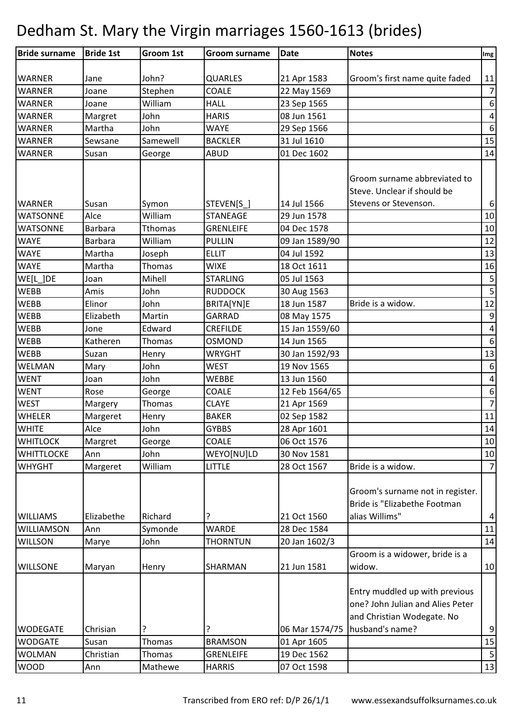| <b>Bride surname</b> | <b>Bride 1st</b> | Groom 1st      | <b>Groom surname</b> | <b>Date</b>    | <b>Notes</b>                                                                                                        | $\lfloor \mathsf{Img} \rfloor$ |
|----------------------|------------------|----------------|----------------------|----------------|---------------------------------------------------------------------------------------------------------------------|--------------------------------|
|                      |                  |                |                      |                |                                                                                                                     |                                |
| <b>WARNER</b>        | Jane             | John?          | <b>QUARLES</b>       | 21 Apr 1583    | Groom's first name quite faded                                                                                      | 11                             |
| <b>WARNER</b>        | Joane            | Stephen        | COALE                | 22 May 1569    |                                                                                                                     | $\overline{7}$                 |
| <b>WARNER</b>        | Joane            | William        | <b>HALL</b>          | 23 Sep 1565    |                                                                                                                     | $\boldsymbol{6}$               |
| <b>WARNER</b>        | Margret          | John           | <b>HARIS</b>         | 08 Jun 1561    |                                                                                                                     | $\pmb{4}$                      |
| <b>WARNER</b>        | Martha           | John           | <b>WAYE</b>          | 29 Sep 1566    |                                                                                                                     | $\boldsymbol{6}$               |
| <b>WARNER</b>        | Sewsane          | Samewell       | <b>BACKLER</b>       | 31 Jul 1610    |                                                                                                                     | 15                             |
| <b>WARNER</b>        | Susan            | George         | <b>ABUD</b>          | 01 Dec 1602    |                                                                                                                     | 14                             |
| <b>WARNER</b>        | Susan            | Symon          | STEVEN[S_]           | 14 Jul 1566    | Groom surname abbreviated to<br>Steve. Unclear if should be<br>Stevens or Stevenson.                                | $\boldsymbol{6}$               |
| <b>WATSONNE</b>      | Alce             | William        | <b>STANEAGE</b>      | 29 Jun 1578    |                                                                                                                     | $10\,$                         |
| <b>WATSONNE</b>      | Barbara          | <b>Tthomas</b> | <b>GRENLEIFE</b>     | 04 Dec 1578    |                                                                                                                     | 10                             |
| <b>WAYE</b>          | Barbara          | William        | <b>PULLIN</b>        | 09 Jan 1589/90 |                                                                                                                     | 12                             |
| <b>WAYE</b>          | Martha           | Joseph         | <b>ELLIT</b>         | 04 Jul 1592    |                                                                                                                     | 13                             |
| <b>WAYE</b>          | Martha           | Thomas         | <b>WIXE</b>          | 18 Oct 1611    |                                                                                                                     | 16                             |
| WE[L_]DE             | Joan             | Mihell         | <b>STARLING</b>      | 05 Jul 1563    |                                                                                                                     | $\mathsf S$                    |
| <b>WEBB</b>          | Amis             | John           | <b>RUDDOCK</b>       | 30 Aug 1563    |                                                                                                                     | $\overline{5}$                 |
| <b>WEBB</b>          | Elinor           | John           | BRITA[YN]E           | 18 Jun 1587    | Bride is a widow.                                                                                                   | 12                             |
| <b>WEBB</b>          | Elizabeth        | Martin         | <b>GARRAD</b>        | 08 May 1575    |                                                                                                                     | $\boldsymbol{9}$               |
| <b>WEBB</b>          | Jone             | Edward         | <b>CREFILDE</b>      | 15 Jan 1559/60 |                                                                                                                     | $\pmb{4}$                      |
| <b>WEBB</b>          | Katheren         | Thomas         | <b>OSMOND</b>        | 14 Jun 1565    |                                                                                                                     | $\boldsymbol{6}$               |
| <b>WEBB</b>          | Suzan            | Henry          | <b>WRYGHT</b>        | 30 Jan 1592/93 |                                                                                                                     | 13                             |
| WELMAN               | Mary             | John           | <b>WEST</b>          | 19 Nov 1565    |                                                                                                                     | $\boldsymbol{6}$               |
| <b>WENT</b>          | Joan             | John           | <b>WEBBE</b>         | 13 Jun 1560    |                                                                                                                     | $\pmb{4}$                      |
| <b>WENT</b>          | Rose             | George         | COALE                | 12 Feb 1564/65 |                                                                                                                     | $\boldsymbol{6}$               |
| <b>WEST</b>          | Margery          | Thomas         | <b>CLAYE</b>         | 21 Apr 1569    |                                                                                                                     | $\overline{7}$                 |
| <b>WHELER</b>        | Margeret         | Henry          | <b>BAKER</b>         | 02 Sep 1582    |                                                                                                                     | $11\,$                         |
| <b>WHITE</b>         | Alce             | John           | <b>GYBBS</b>         | 28 Apr 1601    |                                                                                                                     | 14                             |
| <b>WHITLOCK</b>      | Margret          | George         | COALE                | 06 Oct 1576    |                                                                                                                     | 10                             |
| <b>WHITTLOCKE</b>    | Ann              | John           | WEYO[NU]LD           | 30 Nov 1581    |                                                                                                                     | 10                             |
| <b>WHYGHT</b>        | Margeret         | William        | <b>LITTLE</b>        | 28 Oct 1567    | Bride is a widow.                                                                                                   | $\overline{7}$                 |
| <b>WILLIAMS</b>      | Elizabethe       | Richard        |                      | 21 Oct 1560    | Groom's surname not in register.<br>Bride is "Elizabethe Footman<br>alias Willims"                                  | $\overline{\mathcal{A}}$       |
| <b>WILLIAMSON</b>    | Ann              | Symonde        | <b>WARDE</b>         | 28 Dec 1584    |                                                                                                                     | $11\,$                         |
| <b>WILLSON</b>       | Marye            | John           | <b>THORNTUN</b>      | 20 Jan 1602/3  |                                                                                                                     | 14                             |
| <b>WILLSONE</b>      | Maryan           | Henry          | SHARMAN              | 21 Jun 1581    | Groom is a widower, bride is a<br>widow.                                                                            | 10                             |
| <b>WODEGATE</b>      | Chrisian         |                |                      | 06 Mar 1574/75 | Entry muddled up with previous<br>one? John Julian and Alies Peter<br>and Christian Wodegate. No<br>husband's name? | $\boldsymbol{9}$               |
| <b>WODGATE</b>       | Susan            | Thomas         | <b>BRAMSON</b>       | 01 Apr 1605    |                                                                                                                     | 15                             |
| <b>WOLMAN</b>        | Christian        | Thomas         | <b>GRENLEIFE</b>     | 19 Dec 1562    |                                                                                                                     | 5                              |
| <b>WOOD</b>          | Ann              | Mathewe        | <b>HARRIS</b>        | 07 Oct 1598    |                                                                                                                     | 13                             |
|                      |                  |                |                      |                |                                                                                                                     |                                |